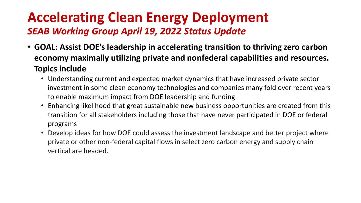- **GOAL: Assist DOE's leadership in accelerating transition to thriving zero carbon economy maximally utilizing private and nonfederal capabilities and resources. Topics include**
	- Understanding current and expected market dynamics that have increased private sector investment in some clean economy technologies and companies many fold over recent years to enable maximum impact from DOE leadership and funding
	- Enhancing likelihood that great sustainable new business opportunities are created from this transition for all stakeholders including those that have never participated in DOE or federal programs
	- Develop ideas for how DOE could assess the investment landscape and better project where private or other non-federal capital flows in select zero carbon energy and supply chain vertical are headed.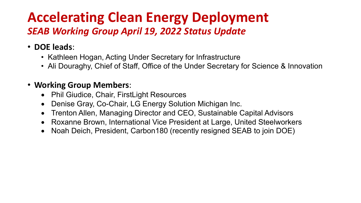- **DOE leads**:
	- Kathleen Hogan, Acting Under Secretary for Infrastructure
	- Ali Douraghy, Chief of Staff, Office of the Under Secretary for Science & Innovation

### • **Working Group Members**:

- Phil Giudice, Chair, FirstLight Resources
- Denise Gray, Co-Chair, LG Energy Solution Michigan Inc.
- Trenton Allen, Managing Director and CEO, Sustainable Capital Advisors
- Roxanne Brown, International Vice President at Large, United Steelworkers
- Noah Deich, President, Carbon180 (recently resigned SEAB to join DOE)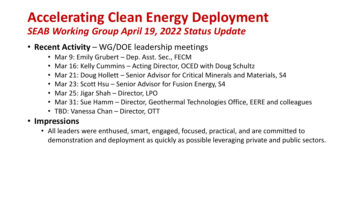- **Recent Activity**  WG/DOE leadership meetings
	- Mar 9: Emily Grubert Dep. Asst. Sec., FECM
	- Mar 16: Kelly Cummins Acting Director, OCED with Doug Schultz
	- Mar 21: Doug Hollett Senior Advisor for Critical Minerals and Materials, S4
	- Mar 23: Scott Hsu Senior Advisor for Fusion Energy, S4
	- Mar 25: Jigar Shah Director, LPO
	- Mar 31: Sue Hamm Director, Geothermal Technologies Office, EERE and colleagues
	- TBD: Vanessa Chan Director, OTT

#### • **Impressions**

• All leaders were enthused, smart, engaged, focused, practical, and are committed to demonstration and deployment as quickly as possible leveraging private and public sectors.